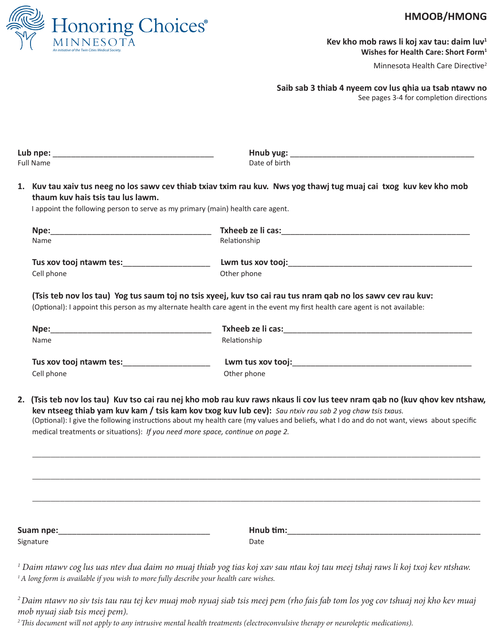

## HMOOB/HMONG

Kev kho mob raws li koj xav tau: daim luv<sup>1</sup> Wishes for Health Care: Short Form<sup>1</sup>

Minnesota Health Care Directive<sup>2</sup>

Saib sab 3 thiab 4 nyeem cov lus qhia ua tsab ntawv no

See pages 3-4 for completion directions

| <b>Full Name</b>                              | Date of birth                                                                                                                                                                                                                                                                                                                                                                                                                                                         |
|-----------------------------------------------|-----------------------------------------------------------------------------------------------------------------------------------------------------------------------------------------------------------------------------------------------------------------------------------------------------------------------------------------------------------------------------------------------------------------------------------------------------------------------|
| thaum kuy hais tsis tau lus lawm.             | 1. Kuv tau xaiv tus neeg no los sawv cev thiab txiav txim rau kuv. Nws yog thawj tug muaj cai txog kuv kev kho mob                                                                                                                                                                                                                                                                                                                                                    |
|                                               | I appoint the following person to serve as my primary (main) health care agent.                                                                                                                                                                                                                                                                                                                                                                                       |
|                                               |                                                                                                                                                                                                                                                                                                                                                                                                                                                                       |
| Name                                          | Relationship                                                                                                                                                                                                                                                                                                                                                                                                                                                          |
| Tus xov tooj ntawm tes: _____________________ |                                                                                                                                                                                                                                                                                                                                                                                                                                                                       |
| Cell phone                                    | Other phone                                                                                                                                                                                                                                                                                                                                                                                                                                                           |
|                                               | (Tsis teb nov los tau) Yog tus saum toj no tsis xyeej, kuv tso cai rau tus nram qab no los sawv cev rau kuv:<br>(Optional): I appoint this person as my alternate health care agent in the event my first health care agent is not available:                                                                                                                                                                                                                         |
|                                               |                                                                                                                                                                                                                                                                                                                                                                                                                                                                       |
| <b>Name</b>                                   | Relationship                                                                                                                                                                                                                                                                                                                                                                                                                                                          |
| Tus xov tooj ntawm tes: ____________________  |                                                                                                                                                                                                                                                                                                                                                                                                                                                                       |
|                                               |                                                                                                                                                                                                                                                                                                                                                                                                                                                                       |
| Cell phone                                    | Other phone                                                                                                                                                                                                                                                                                                                                                                                                                                                           |
|                                               | 2. (Tsis teb nov los tau) Kuv tso cai rau nej kho mob rau kuv raws nkaus li cov lus teev nram qab no (kuv qhov kev ntshaw,<br>kev ntseeg thiab yam kuv kam / tsis kam kov txog kuv lub cev): Sau ntxiv rau sab 2 yog chaw tsis txaus.<br>(Optional): I give the following instructions about my health care (my values and beliefs, what I do and do not want, views about specific<br>medical treatments or situations): If you need more space, continue on page 2. |

<sup>1</sup>A long form is available if you wish to more fully describe your health care wishes.

<sup>2</sup>Daim ntawy no siv tsis tau rau tej kev muaj mob nyuaj siab tsis meej pem (rho fais fab tom los yog cov tshuaj noj kho kev muaj mob nyuaj siab tsis meej pem).

<sup>2</sup> This document will not apply to any intrusive mental health treatments (electroconvulsive therapy or neuroleptic medications).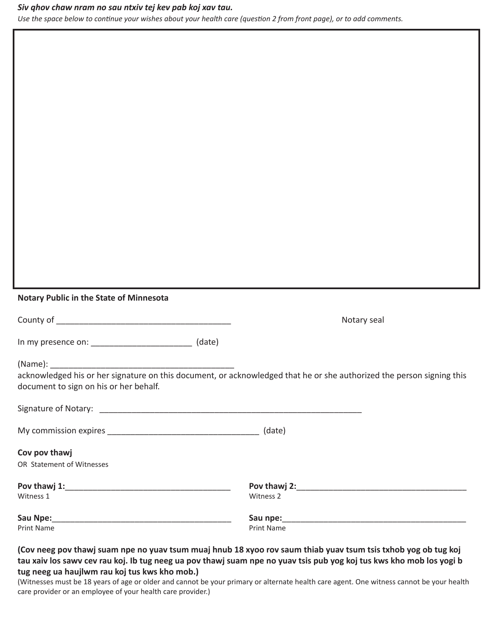#### Siv qhov chaw nram no sau ntxiv tej kev pab koj xav tau.

Use the space below to continue your wishes about your health care (question 2 from front page), or to add comments.

#### Notary Public in the State of Minnesota

| In my presence on: |  | (date) |
|--------------------|--|--------|
|--------------------|--|--------|

(Name): \_\_\_\_\_\_\_\_\_

acknowledged his or her signature on this document, or acknowledged that he or she authorized the person signing this document to sign on his or her behalf.

Notary seal

| My commission expires |  | (date) |
|-----------------------|--|--------|
|-----------------------|--|--------|

Cov pov thawj

OR Statement of Witnesses

| Pov thawj 1: | Pov thawj 2: |  |
|--------------|--------------|--|
| Witness 1    | Witness 2    |  |
| Sau Npe:     | Sau npe:     |  |
| Print Name   | Print Name   |  |

### (Cov neeg pov thawj suam npe no yuav tsum muaj hnub 18 xyoo rov saum thiab yuav tsum tsis txhob yog ob tug koj tau xaiv los sawv cev rau koj. Ib tug neeg ua pov thawj suam npe no yuav tsis pub yog koj tus kws kho mob los yogi b tug neeg ua haujlwm rau koj tus kws kho mob.)

(Witnesses must be 18 years of age or older and cannot be your primary or alternate health care agent. One witness cannot be your health care provider or an employee of your health care provider.)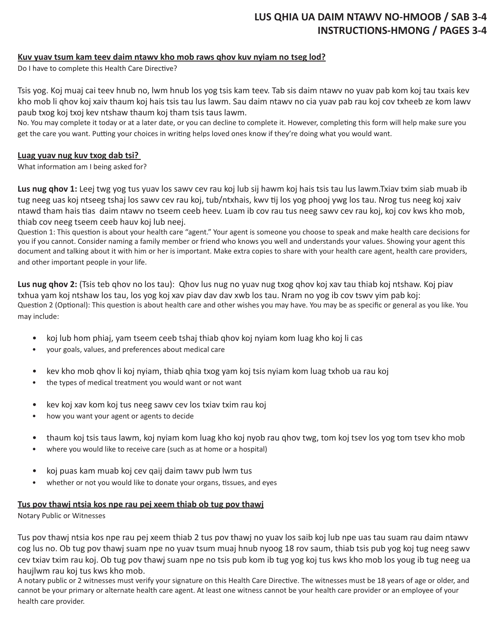# **LUS QHIA UA DAIM NTAWV NO-HMOOB / SAB 3-4 INSTRUCTIONS-HMONG / PAGES 3-4**

## **Kuv yuav tsum kam teev daim ntawv kho mob raws qhov kuv nyiam no tseg lod?**

Do I have to complete this Health Care Directive?

Tsis yog. Koj muaj cai teev hnub no, lwm hnub los yog tsis kam teev. Tab sis daim ntawv no yuav pab kom koj tau txais kev kho mob li qhov koj xaiv thaum koj hais tsis tau lus lawm. Sau daim ntawv no cia yuav pab rau koj cov txheeb ze kom lawv paub txog koj txoj kev ntshaw thaum koj tham tsis taus lawm.

No. You may complete it today or at a later date, or you can decline to complete it. However, completing this form will help make sure you get the care you want. Putting your choices in writing helps loved ones know if they're doing what you would want.

#### **Luag yuav nug kuv txog dab tsi?**

What information am I being asked for?

**Lus nug qhov 1:** Leej twg yog tus yuav los sawv cev rau koj lub sij hawm koj hais tsis tau lus lawm.Txiav txim siab muab ib tug neeg uas koj ntseeg tshaj los sawv cev rau koj, tub/ntxhais, kwv tij los yog phooj ywg los tau. Nrog tus neeg koj xaiv ntawd tham hais tias daim ntawv no tseem ceeb heev. Luam ib cov rau tus neeg sawv cev rau koj, koj cov kws kho mob, thiab cov neeg tseem ceeb hauv koj lub neej.

Question 1: This question is about your health care "agent." Your agent is someone you choose to speak and make health care decisions for you if you cannot. Consider naming a family member or friend who knows you well and understands your values. Showing your agent this document and talking about it with him or her is important. Make extra copies to share with your health care agent, health care providers, and other important people in your life.

**Lus nug qhov 2:** (Tsis teb qhov no los tau): Qhov lus nug no yuav nug txog qhov koj xav tau thiab koj ntshaw. Koj piav txhua yam koj ntshaw los tau, los yog koj xav piav dav dav xwb los tau. Nram no yog ib cov tswv yim pab koj: Question 2 (Optional): This question is about health care and other wishes you may have. You may be as specific or general as you like. You may include:

- koj lub hom phiaj, yam tseem ceeb tshaj thiab qhov koj nyiam kom luag kho koj li cas
- your goals, values, and preferences about medical care
- kev kho mob qhov li koj nyiam, thiab qhia txog yam koj tsis nyiam kom luag txhob ua rau koj
- the types of medical treatment you would want or not want
- kev koj xav kom koj tus neeg sawv cev los txiav txim rau koj
- how you want your agent or agents to decide
- thaum koj tsis taus lawm, koj nyiam kom luag kho koj nyob rau qhov twg, tom koj tsev los yog tom tsev kho mob
- where you would like to receive care (such as at home or a hospital)
- koj puas kam muab koj cev qaij daim tawv pub lwm tus
- whether or not you would like to donate your organs, tissues, and eyes

#### **Tus pov thawj ntsia kos npe rau pej xeem thiab ob tug pov thawj**

Notary Public or Witnesses

Tus pov thawj ntsia kos npe rau pej xeem thiab 2 tus pov thawj no yuav los saib koj lub npe uas tau suam rau daim ntawv cog lus no. Ob tug pov thawj suam npe no yuav tsum muaj hnub nyoog 18 rov saum, thiab tsis pub yog koj tug neeg sawv cev txiav txim rau koj. Ob tug pov thawj suam npe no tsis pub kom ib tug yog koj tus kws kho mob los youg ib tug neeg ua haujlwm rau koj tus kws kho mob.

A notary public or 2 witnesses must verify your signature on this Health Care Directive. The witnesses must be 18 years of age or older, and cannot be your primary or alternate health care agent. At least one witness cannot be your health care provider or an employee of your health care provider.